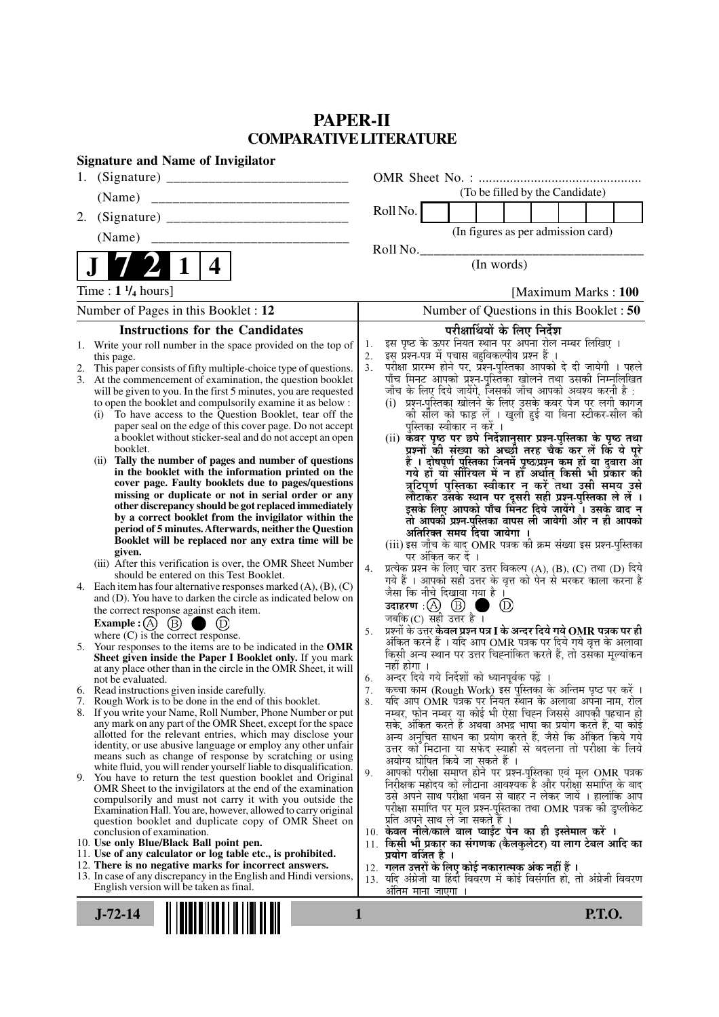# **PAPER-II COMPARATIVE LITERATURE**

| 1.<br>(To be filled by the Candidate)<br>(Name)<br>Roll No.<br>2.<br>(In figures as per admission card)<br>(Name)<br>Roll No.<br>(In words)<br>4<br>Time : $1 \frac{1}{4}$ hours]<br>Number of Pages in this Booklet : 12<br><b>Instructions for the Candidates</b><br>परीक्षार्थियों के लिए निर्देश<br>इस पृष्ठ के ऊपर नियत स्थान पर अपना रोल नम्बर लिखिए ।<br>1.<br>Write your roll number in the space provided on the top of<br>1.<br>इस प्रश्न-पत्र में पचास बहुविकल्पीय प्रश्न हैं ।<br>2.<br>this page.<br>3 <sub>1</sub><br>This paper consists of fifty multiple-choice type of questions.<br>2.<br>3.<br>At the commencement of examination, the question booklet<br>जाँच के लिए दिये जायेंगे, जिसकी जाँच आपको अवश्य करनी है :<br>will be given to you. In the first 5 minutes, you are requested<br>to open the booklet and compulsorily examine it as below :<br>To have access to the Question Booklet, tear off the<br>(i)<br>paper seal on the edge of this cover page. Do not accept<br>पुस्तिका स्वीकार न करें ।<br>a booklet without sticker-seal and do not accept an open<br>booklet.<br>Tally the number of pages and number of questions<br>(ii)<br>in the booklet with the information printed on the<br>cover page. Faulty booklets due to pages/questions<br>missing or duplicate or not in serial order or any<br>other discrepancy should be got replaced immediately<br>by a correct booklet from the invigilator within the<br>period of 5 minutes. Afterwards, neither the Question<br>अतिरिक्त समय दिया जायेगा ।<br>Booklet will be replaced nor any extra time will be<br>(iii) इस जाँच के बाद OMR पत्रक की क्रम संख्या इस प्रश्न-पुस्तिका<br>given.<br>पर अंकित कर दें ।<br>(iii) After this verification is over, the OMR Sheet Number<br>4.<br>should be entered on this Test Booklet.<br>गये हैं । आपको सही उत्तर के वृत्त को पेन से भरकर काला करना है<br>Each item has four alternative responses marked $(A)$ , $(B)$ , $(C)$<br>4.<br>जैसा कि नीचे दिखाया गया है ।<br>and (D). You have to darken the circle as indicated below on<br>$\circledcirc$<br>the correct response against each item.<br>जबकि (C) सही उत्तर है $\overline{1}$<br>Example : $\overline{A}$ $\overline{B}$ $\overline{B}$<br>$\bigcirc$ (D)<br>प्रश्नों के उत्तर <b>केवल प्रश्न पत्र I के अन्दर दिये गये OMR पत्रक पर ही</b><br>5.<br>where $(C)$ is the correct response.<br>5. Your responses to the items are to be indicated in the OMR<br>किसी अन्य स्थान पर उत्तर चिह्नांकित करते हैं, तो उसका मूल्यांकन<br>Sheet given inside the Paper I Booklet only. If you mark<br>नहीं होगा ।<br>at any place other than in the circle in the OMR Sheet, it will<br>अन्दर दिये गये निर्देशों को ध्यानपूर्वक पढ़ें ।<br>6.<br>not be evaluated.<br>कच्चा काम (Rough Work) इस पुस्तिका के अन्तिम पृष्ठ पर करें ।<br>7.<br>6. Read instructions given inside carefully.<br>7. Rough Work is to be done in the end of this booklet.<br>8.<br>नम्बर, फोन नम्बर या कोई भी ऐसा चिह्न जिससे आपकी पहचान हो<br>8. If you write your Name, Roll Number, Phone Number or put<br>any mark on any part of the OMR Sheet, except for the space<br>allotted for the relevant entries, which may disclose your<br>identity, or use abusive language or employ any other unfair<br>means such as change of response by scratching or using<br>अयोग्य घोषित किये जा सकते हैं ।<br>white fluid, you will render yourself liable to disqualification.<br>आपको परीक्षा समाप्त होने पर प्रश्न-पुस्तिका एवं मूल OMR पत्रक<br>9.<br>9. You have to return the test question booklet and Original<br>निरीक्षक महोदय को लौटाना आवश्यक है और परीक्षा समाप्ति के बाद<br>OMR Sheet to the invigilators at the end of the examination<br>compulsorily and must not carry it with you outside the<br>Examination Hall. You are, however, allowed to carry original<br>प्रति अपने साथ ले जा सकते हैं ।<br>question booklet and duplicate copy of OMR Sheet on<br>10. केवल नीले/काले बाल प्वाईंट पेन का ही इस्तेमाल करें ।<br>conclusion of examination.<br>10. Use only Blue/Black Ball point pen.<br>11. Use of any calculator or log table etc., is prohibited.<br>प्रयोग वर्जित है ।<br>12. There is no negative marks for incorrect answers.<br>12. गलत उत्तरों के लिए कोई नकारात्मक अंक नहीं हैं ।<br>13. In case of any discrepancy in the English and Hindi versions,<br>English version will be taken as final.<br>ओतम माना जाएगा<br>$J-72-14$<br>1<br><b>P.T.O.</b> | <b>Signature and Name of Invigilator</b> |                                                                                                                                                                                                                                                                                                                                                                                                                                                                                                                                                                                                                                                                                                                                         |  |  |  |
|--------------------------------------------------------------------------------------------------------------------------------------------------------------------------------------------------------------------------------------------------------------------------------------------------------------------------------------------------------------------------------------------------------------------------------------------------------------------------------------------------------------------------------------------------------------------------------------------------------------------------------------------------------------------------------------------------------------------------------------------------------------------------------------------------------------------------------------------------------------------------------------------------------------------------------------------------------------------------------------------------------------------------------------------------------------------------------------------------------------------------------------------------------------------------------------------------------------------------------------------------------------------------------------------------------------------------------------------------------------------------------------------------------------------------------------------------------------------------------------------------------------------------------------------------------------------------------------------------------------------------------------------------------------------------------------------------------------------------------------------------------------------------------------------------------------------------------------------------------------------------------------------------------------------------------------------------------------------------------------------------------------------------------------------------------------------------------------------------------------------------------------------------------------------------------------------------------------------------------------------------------------------------------------------------------------------------------------------------------------------------------------------------------------------------------------------------------------------------------------------------------------------------------------------------------------------------------------------------------------------------------------------------------------------------------------------------------------------------------------------------------------------------------------------------------------------------------------------------------------------------------------------------------------------------------------------------------------------------------------------------------------------------------------------------------------------------------------------------------------------------------------------------------------------------------------------------------------------------------------------------------------------------------------------------------------------------------------------------------------------------------------------------------------------------------------------------------------------------------------------------------------------------------------------------------------------------------------------------------------------------------------------------------------------------------------------------------------------------------------------------------------------------------------------------------------------------------------------------------------------------------------------------------------------------------------------------------------------------------------------------------------------------------------------------------------------------------------------------------------------------------------------------------------------------------------------------------------------------------------------------------------------------------------------------------------------------------------------------------------------------------------------------------------------------------------------------------|------------------------------------------|-----------------------------------------------------------------------------------------------------------------------------------------------------------------------------------------------------------------------------------------------------------------------------------------------------------------------------------------------------------------------------------------------------------------------------------------------------------------------------------------------------------------------------------------------------------------------------------------------------------------------------------------------------------------------------------------------------------------------------------------|--|--|--|
|                                                                                                                                                                                                                                                                                                                                                                                                                                                                                                                                                                                                                                                                                                                                                                                                                                                                                                                                                                                                                                                                                                                                                                                                                                                                                                                                                                                                                                                                                                                                                                                                                                                                                                                                                                                                                                                                                                                                                                                                                                                                                                                                                                                                                                                                                                                                                                                                                                                                                                                                                                                                                                                                                                                                                                                                                                                                                                                                                                                                                                                                                                                                                                                                                                                                                                                                                                                                                                                                                                                                                                                                                                                                                                                                                                                                                                                                                                                                                                                                                                                                                                                                                                                                                                                                                                                                                                                                                                                        |                                          |                                                                                                                                                                                                                                                                                                                                                                                                                                                                                                                                                                                                                                                                                                                                         |  |  |  |
|                                                                                                                                                                                                                                                                                                                                                                                                                                                                                                                                                                                                                                                                                                                                                                                                                                                                                                                                                                                                                                                                                                                                                                                                                                                                                                                                                                                                                                                                                                                                                                                                                                                                                                                                                                                                                                                                                                                                                                                                                                                                                                                                                                                                                                                                                                                                                                                                                                                                                                                                                                                                                                                                                                                                                                                                                                                                                                                                                                                                                                                                                                                                                                                                                                                                                                                                                                                                                                                                                                                                                                                                                                                                                                                                                                                                                                                                                                                                                                                                                                                                                                                                                                                                                                                                                                                                                                                                                                                        |                                          |                                                                                                                                                                                                                                                                                                                                                                                                                                                                                                                                                                                                                                                                                                                                         |  |  |  |
|                                                                                                                                                                                                                                                                                                                                                                                                                                                                                                                                                                                                                                                                                                                                                                                                                                                                                                                                                                                                                                                                                                                                                                                                                                                                                                                                                                                                                                                                                                                                                                                                                                                                                                                                                                                                                                                                                                                                                                                                                                                                                                                                                                                                                                                                                                                                                                                                                                                                                                                                                                                                                                                                                                                                                                                                                                                                                                                                                                                                                                                                                                                                                                                                                                                                                                                                                                                                                                                                                                                                                                                                                                                                                                                                                                                                                                                                                                                                                                                                                                                                                                                                                                                                                                                                                                                                                                                                                                                        |                                          |                                                                                                                                                                                                                                                                                                                                                                                                                                                                                                                                                                                                                                                                                                                                         |  |  |  |
|                                                                                                                                                                                                                                                                                                                                                                                                                                                                                                                                                                                                                                                                                                                                                                                                                                                                                                                                                                                                                                                                                                                                                                                                                                                                                                                                                                                                                                                                                                                                                                                                                                                                                                                                                                                                                                                                                                                                                                                                                                                                                                                                                                                                                                                                                                                                                                                                                                                                                                                                                                                                                                                                                                                                                                                                                                                                                                                                                                                                                                                                                                                                                                                                                                                                                                                                                                                                                                                                                                                                                                                                                                                                                                                                                                                                                                                                                                                                                                                                                                                                                                                                                                                                                                                                                                                                                                                                                                                        |                                          |                                                                                                                                                                                                                                                                                                                                                                                                                                                                                                                                                                                                                                                                                                                                         |  |  |  |
|                                                                                                                                                                                                                                                                                                                                                                                                                                                                                                                                                                                                                                                                                                                                                                                                                                                                                                                                                                                                                                                                                                                                                                                                                                                                                                                                                                                                                                                                                                                                                                                                                                                                                                                                                                                                                                                                                                                                                                                                                                                                                                                                                                                                                                                                                                                                                                                                                                                                                                                                                                                                                                                                                                                                                                                                                                                                                                                                                                                                                                                                                                                                                                                                                                                                                                                                                                                                                                                                                                                                                                                                                                                                                                                                                                                                                                                                                                                                                                                                                                                                                                                                                                                                                                                                                                                                                                                                                                                        |                                          |                                                                                                                                                                                                                                                                                                                                                                                                                                                                                                                                                                                                                                                                                                                                         |  |  |  |
|                                                                                                                                                                                                                                                                                                                                                                                                                                                                                                                                                                                                                                                                                                                                                                                                                                                                                                                                                                                                                                                                                                                                                                                                                                                                                                                                                                                                                                                                                                                                                                                                                                                                                                                                                                                                                                                                                                                                                                                                                                                                                                                                                                                                                                                                                                                                                                                                                                                                                                                                                                                                                                                                                                                                                                                                                                                                                                                                                                                                                                                                                                                                                                                                                                                                                                                                                                                                                                                                                                                                                                                                                                                                                                                                                                                                                                                                                                                                                                                                                                                                                                                                                                                                                                                                                                                                                                                                                                                        |                                          | [Maximum Marks: 100]                                                                                                                                                                                                                                                                                                                                                                                                                                                                                                                                                                                                                                                                                                                    |  |  |  |
|                                                                                                                                                                                                                                                                                                                                                                                                                                                                                                                                                                                                                                                                                                                                                                                                                                                                                                                                                                                                                                                                                                                                                                                                                                                                                                                                                                                                                                                                                                                                                                                                                                                                                                                                                                                                                                                                                                                                                                                                                                                                                                                                                                                                                                                                                                                                                                                                                                                                                                                                                                                                                                                                                                                                                                                                                                                                                                                                                                                                                                                                                                                                                                                                                                                                                                                                                                                                                                                                                                                                                                                                                                                                                                                                                                                                                                                                                                                                                                                                                                                                                                                                                                                                                                                                                                                                                                                                                                                        |                                          | Number of Questions in this Booklet: 50                                                                                                                                                                                                                                                                                                                                                                                                                                                                                                                                                                                                                                                                                                 |  |  |  |
|                                                                                                                                                                                                                                                                                                                                                                                                                                                                                                                                                                                                                                                                                                                                                                                                                                                                                                                                                                                                                                                                                                                                                                                                                                                                                                                                                                                                                                                                                                                                                                                                                                                                                                                                                                                                                                                                                                                                                                                                                                                                                                                                                                                                                                                                                                                                                                                                                                                                                                                                                                                                                                                                                                                                                                                                                                                                                                                                                                                                                                                                                                                                                                                                                                                                                                                                                                                                                                                                                                                                                                                                                                                                                                                                                                                                                                                                                                                                                                                                                                                                                                                                                                                                                                                                                                                                                                                                                                                        |                                          |                                                                                                                                                                                                                                                                                                                                                                                                                                                                                                                                                                                                                                                                                                                                         |  |  |  |
|                                                                                                                                                                                                                                                                                                                                                                                                                                                                                                                                                                                                                                                                                                                                                                                                                                                                                                                                                                                                                                                                                                                                                                                                                                                                                                                                                                                                                                                                                                                                                                                                                                                                                                                                                                                                                                                                                                                                                                                                                                                                                                                                                                                                                                                                                                                                                                                                                                                                                                                                                                                                                                                                                                                                                                                                                                                                                                                                                                                                                                                                                                                                                                                                                                                                                                                                                                                                                                                                                                                                                                                                                                                                                                                                                                                                                                                                                                                                                                                                                                                                                                                                                                                                                                                                                                                                                                                                                                                        |                                          | परीक्षा प्रारम्भ होने पर, प्रॅश्न-पुस्तिका आपको दे दी जायेगी । पहले<br>पाँच मिनट आपको प्रश्न-पुस्तिका खोलने तथा उसकी निम्नलिखित<br>(i) प्रश्न-पुस्तिका खोलने के लिए उसके कवर पेज पर लगी कागज<br>की सील को फाड़ लें । खुली हुई या बिना स्टीकर-सील की<br>(ii) कवर पृष्ठ पर छपे निर्देशानुसार प्रश्न-पुस्तिका के पृष्ठ तथा<br>प्रश्नों की संख्या को अच्छी तरह चैक कर लें कि ये पूरे<br>हैं । दोषपूर्ण पुस्तिका जिनमें पृष्ठ/प्रश्न कम हों या दुबारा आ<br>गये हो या सीरियल में न हो अर्थात् किसी भी प्रकार की<br>त्रुटिपूर्ण पुस्तिका स्वीकार न करें तथा उसी समय उसे<br>लौटाकर उसके स्थान पर दूसरी सही प्रश्न-पुस्तिका ले लें ।<br>इसके लिए आपको पाँच मिनट दिये जायेंगे । उसके बाद न<br>तो आपकी प्रश्न-पुस्तिका वापस ली जायेगी और न ही आपको |  |  |  |
|                                                                                                                                                                                                                                                                                                                                                                                                                                                                                                                                                                                                                                                                                                                                                                                                                                                                                                                                                                                                                                                                                                                                                                                                                                                                                                                                                                                                                                                                                                                                                                                                                                                                                                                                                                                                                                                                                                                                                                                                                                                                                                                                                                                                                                                                                                                                                                                                                                                                                                                                                                                                                                                                                                                                                                                                                                                                                                                                                                                                                                                                                                                                                                                                                                                                                                                                                                                                                                                                                                                                                                                                                                                                                                                                                                                                                                                                                                                                                                                                                                                                                                                                                                                                                                                                                                                                                                                                                                                        |                                          |                                                                                                                                                                                                                                                                                                                                                                                                                                                                                                                                                                                                                                                                                                                                         |  |  |  |
|                                                                                                                                                                                                                                                                                                                                                                                                                                                                                                                                                                                                                                                                                                                                                                                                                                                                                                                                                                                                                                                                                                                                                                                                                                                                                                                                                                                                                                                                                                                                                                                                                                                                                                                                                                                                                                                                                                                                                                                                                                                                                                                                                                                                                                                                                                                                                                                                                                                                                                                                                                                                                                                                                                                                                                                                                                                                                                                                                                                                                                                                                                                                                                                                                                                                                                                                                                                                                                                                                                                                                                                                                                                                                                                                                                                                                                                                                                                                                                                                                                                                                                                                                                                                                                                                                                                                                                                                                                                        |                                          | प्रत्येक प्रश्न के लिए चार उत्तर विकल्प (A), (B), (C) तथा (D) दिये                                                                                                                                                                                                                                                                                                                                                                                                                                                                                                                                                                                                                                                                      |  |  |  |
|                                                                                                                                                                                                                                                                                                                                                                                                                                                                                                                                                                                                                                                                                                                                                                                                                                                                                                                                                                                                                                                                                                                                                                                                                                                                                                                                                                                                                                                                                                                                                                                                                                                                                                                                                                                                                                                                                                                                                                                                                                                                                                                                                                                                                                                                                                                                                                                                                                                                                                                                                                                                                                                                                                                                                                                                                                                                                                                                                                                                                                                                                                                                                                                                                                                                                                                                                                                                                                                                                                                                                                                                                                                                                                                                                                                                                                                                                                                                                                                                                                                                                                                                                                                                                                                                                                                                                                                                                                                        |                                          |                                                                                                                                                                                                                                                                                                                                                                                                                                                                                                                                                                                                                                                                                                                                         |  |  |  |
|                                                                                                                                                                                                                                                                                                                                                                                                                                                                                                                                                                                                                                                                                                                                                                                                                                                                                                                                                                                                                                                                                                                                                                                                                                                                                                                                                                                                                                                                                                                                                                                                                                                                                                                                                                                                                                                                                                                                                                                                                                                                                                                                                                                                                                                                                                                                                                                                                                                                                                                                                                                                                                                                                                                                                                                                                                                                                                                                                                                                                                                                                                                                                                                                                                                                                                                                                                                                                                                                                                                                                                                                                                                                                                                                                                                                                                                                                                                                                                                                                                                                                                                                                                                                                                                                                                                                                                                                                                                        |                                          | अंकित करने हैं । यदि आप OMR पत्रक पर दिये गये वृत्त के अलावा                                                                                                                                                                                                                                                                                                                                                                                                                                                                                                                                                                                                                                                                            |  |  |  |
|                                                                                                                                                                                                                                                                                                                                                                                                                                                                                                                                                                                                                                                                                                                                                                                                                                                                                                                                                                                                                                                                                                                                                                                                                                                                                                                                                                                                                                                                                                                                                                                                                                                                                                                                                                                                                                                                                                                                                                                                                                                                                                                                                                                                                                                                                                                                                                                                                                                                                                                                                                                                                                                                                                                                                                                                                                                                                                                                                                                                                                                                                                                                                                                                                                                                                                                                                                                                                                                                                                                                                                                                                                                                                                                                                                                                                                                                                                                                                                                                                                                                                                                                                                                                                                                                                                                                                                                                                                                        |                                          |                                                                                                                                                                                                                                                                                                                                                                                                                                                                                                                                                                                                                                                                                                                                         |  |  |  |
|                                                                                                                                                                                                                                                                                                                                                                                                                                                                                                                                                                                                                                                                                                                                                                                                                                                                                                                                                                                                                                                                                                                                                                                                                                                                                                                                                                                                                                                                                                                                                                                                                                                                                                                                                                                                                                                                                                                                                                                                                                                                                                                                                                                                                                                                                                                                                                                                                                                                                                                                                                                                                                                                                                                                                                                                                                                                                                                                                                                                                                                                                                                                                                                                                                                                                                                                                                                                                                                                                                                                                                                                                                                                                                                                                                                                                                                                                                                                                                                                                                                                                                                                                                                                                                                                                                                                                                                                                                                        |                                          |                                                                                                                                                                                                                                                                                                                                                                                                                                                                                                                                                                                                                                                                                                                                         |  |  |  |
|                                                                                                                                                                                                                                                                                                                                                                                                                                                                                                                                                                                                                                                                                                                                                                                                                                                                                                                                                                                                                                                                                                                                                                                                                                                                                                                                                                                                                                                                                                                                                                                                                                                                                                                                                                                                                                                                                                                                                                                                                                                                                                                                                                                                                                                                                                                                                                                                                                                                                                                                                                                                                                                                                                                                                                                                                                                                                                                                                                                                                                                                                                                                                                                                                                                                                                                                                                                                                                                                                                                                                                                                                                                                                                                                                                                                                                                                                                                                                                                                                                                                                                                                                                                                                                                                                                                                                                                                                                                        |                                          | यदि आप OMR पत्रक पर नियत स्थान के अलावा अपना नाम, रोल                                                                                                                                                                                                                                                                                                                                                                                                                                                                                                                                                                                                                                                                                   |  |  |  |
|                                                                                                                                                                                                                                                                                                                                                                                                                                                                                                                                                                                                                                                                                                                                                                                                                                                                                                                                                                                                                                                                                                                                                                                                                                                                                                                                                                                                                                                                                                                                                                                                                                                                                                                                                                                                                                                                                                                                                                                                                                                                                                                                                                                                                                                                                                                                                                                                                                                                                                                                                                                                                                                                                                                                                                                                                                                                                                                                                                                                                                                                                                                                                                                                                                                                                                                                                                                                                                                                                                                                                                                                                                                                                                                                                                                                                                                                                                                                                                                                                                                                                                                                                                                                                                                                                                                                                                                                                                                        |                                          | सके, अंकित करते हैं अथवा अभद्र भाषा का प्रयोग करते हैं, या कोई<br>अन्य अनुचित साधन का प्रयोग करते हैं, जैसे कि अंकित किये गये<br>उत्तर को मिटाना या सफेद स्याही से बदलना तो परीक्षा के लिये                                                                                                                                                                                                                                                                                                                                                                                                                                                                                                                                             |  |  |  |
|                                                                                                                                                                                                                                                                                                                                                                                                                                                                                                                                                                                                                                                                                                                                                                                                                                                                                                                                                                                                                                                                                                                                                                                                                                                                                                                                                                                                                                                                                                                                                                                                                                                                                                                                                                                                                                                                                                                                                                                                                                                                                                                                                                                                                                                                                                                                                                                                                                                                                                                                                                                                                                                                                                                                                                                                                                                                                                                                                                                                                                                                                                                                                                                                                                                                                                                                                                                                                                                                                                                                                                                                                                                                                                                                                                                                                                                                                                                                                                                                                                                                                                                                                                                                                                                                                                                                                                                                                                                        |                                          |                                                                                                                                                                                                                                                                                                                                                                                                                                                                                                                                                                                                                                                                                                                                         |  |  |  |
|                                                                                                                                                                                                                                                                                                                                                                                                                                                                                                                                                                                                                                                                                                                                                                                                                                                                                                                                                                                                                                                                                                                                                                                                                                                                                                                                                                                                                                                                                                                                                                                                                                                                                                                                                                                                                                                                                                                                                                                                                                                                                                                                                                                                                                                                                                                                                                                                                                                                                                                                                                                                                                                                                                                                                                                                                                                                                                                                                                                                                                                                                                                                                                                                                                                                                                                                                                                                                                                                                                                                                                                                                                                                                                                                                                                                                                                                                                                                                                                                                                                                                                                                                                                                                                                                                                                                                                                                                                                        |                                          | उसे अपने साथ परीक्षा भवन से बाहर न लेकर जायें । हालांकि आप<br>परीक्षा समाप्ति पर मूल प्रश्न-पुस्तिका तथा OMR पत्रक की डुप्लीकेट<br>11. किसी भी प्रकार का संगणक (कैलकुलेटर) या लाग टेबल आदि का                                                                                                                                                                                                                                                                                                                                                                                                                                                                                                                                           |  |  |  |
|                                                                                                                                                                                                                                                                                                                                                                                                                                                                                                                                                                                                                                                                                                                                                                                                                                                                                                                                                                                                                                                                                                                                                                                                                                                                                                                                                                                                                                                                                                                                                                                                                                                                                                                                                                                                                                                                                                                                                                                                                                                                                                                                                                                                                                                                                                                                                                                                                                                                                                                                                                                                                                                                                                                                                                                                                                                                                                                                                                                                                                                                                                                                                                                                                                                                                                                                                                                                                                                                                                                                                                                                                                                                                                                                                                                                                                                                                                                                                                                                                                                                                                                                                                                                                                                                                                                                                                                                                                                        |                                          | 13. यदि अंग्रेजी या हिंदी विवरण में कोई विसंगति हो, तो अंग्रेजी विवरण                                                                                                                                                                                                                                                                                                                                                                                                                                                                                                                                                                                                                                                                   |  |  |  |
|                                                                                                                                                                                                                                                                                                                                                                                                                                                                                                                                                                                                                                                                                                                                                                                                                                                                                                                                                                                                                                                                                                                                                                                                                                                                                                                                                                                                                                                                                                                                                                                                                                                                                                                                                                                                                                                                                                                                                                                                                                                                                                                                                                                                                                                                                                                                                                                                                                                                                                                                                                                                                                                                                                                                                                                                                                                                                                                                                                                                                                                                                                                                                                                                                                                                                                                                                                                                                                                                                                                                                                                                                                                                                                                                                                                                                                                                                                                                                                                                                                                                                                                                                                                                                                                                                                                                                                                                                                                        |                                          |                                                                                                                                                                                                                                                                                                                                                                                                                                                                                                                                                                                                                                                                                                                                         |  |  |  |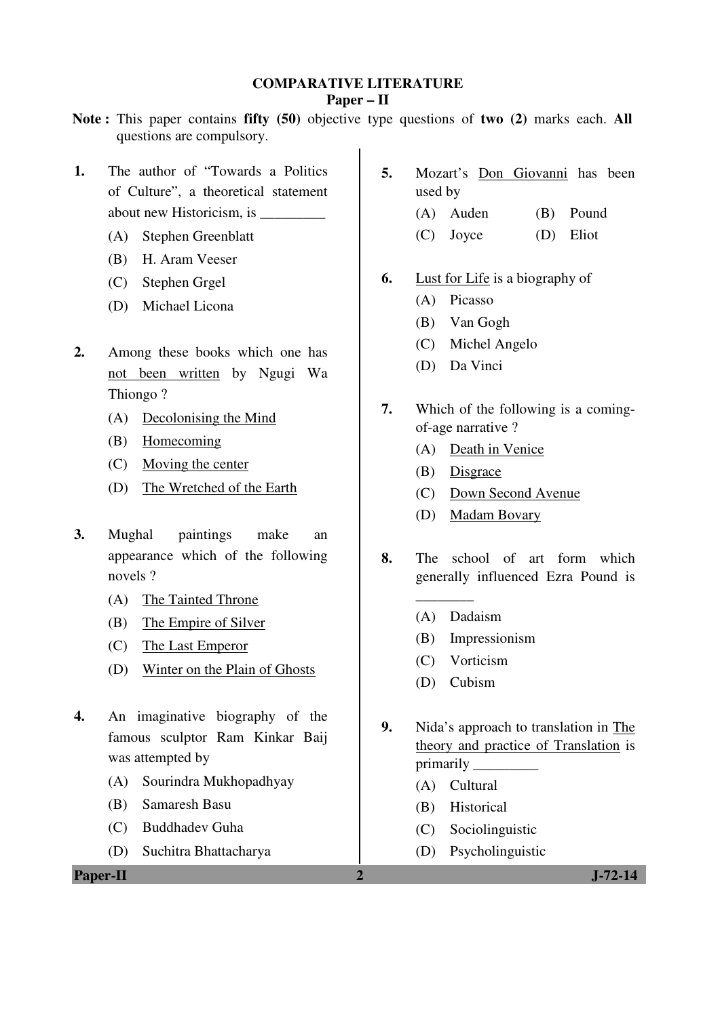### **COMPARATIVE LITERATURE**

#### **Paper – II**

- **Note :** This paper contains **fifty (50)** objective type questions of **two (2)** marks each. **All** questions are compulsory.
- **1.** The author of "Towards a Politics of Culture", a theoretical statement about new Historicism, is \_\_\_\_\_\_\_\_\_
	- (A) Stephen Greenblatt
	- (B) H. Aram Veeser
	- (C) Stephen Grgel
	- (D) Michael Licona
- **2.** Among these books which one has not been written by Ngugi Wa Thiongo ?
	- (A) Decolonising the Mind
	- (B) Homecoming
	- (C) Moving the center
	- (D) The Wretched of the Earth
- **3.** Mughal paintings make an appearance which of the following novels ?
	- (A) The Tainted Throne
	- (B) The Empire of Silver
	- (C) The Last Emperor
	- (D) Winter on the Plain of Ghosts
- **4.** An imaginative biography of the famous sculptor Ram Kinkar Baij was attempted by
	- (A) Sourindra Mukhopadhyay
	- (B) Samaresh Basu
	- (C) Buddhadev Guha
	- (D) Suchitra Bhattacharya

**Paper-II 2 J-72-14** 

- **5.** Mozart's Don Giovanni has been used by
	- (A) Auden (B) Pound
	- (C) Joyce (D) Eliot
- **6.** Lust for Life is a biography of
	- (A) Picasso
	- (B) Van Gogh
	- (C) Michel Angelo
	- (D) Da Vinci
- **7.** Which of the following is a comingof-age narrative ?
	- (A) Death in Venice
	- (B) Disgrace
	- (C) Down Second Avenue
	- (D) Madam Bovary
- **8.** The school of art form which generally influenced Ezra Pound is
	- (A) Dadaism

\_\_\_\_\_\_\_\_

- (B) Impressionism
- (C) Vorticism
- (D) Cubism
- **9.** Nida's approach to translation in The theory and practice of Translation is primarily \_\_\_\_\_\_\_\_\_
	- (A) Cultural
	- (B) Historical
	- (C) Sociolinguistic
	- (D) Psycholinguistic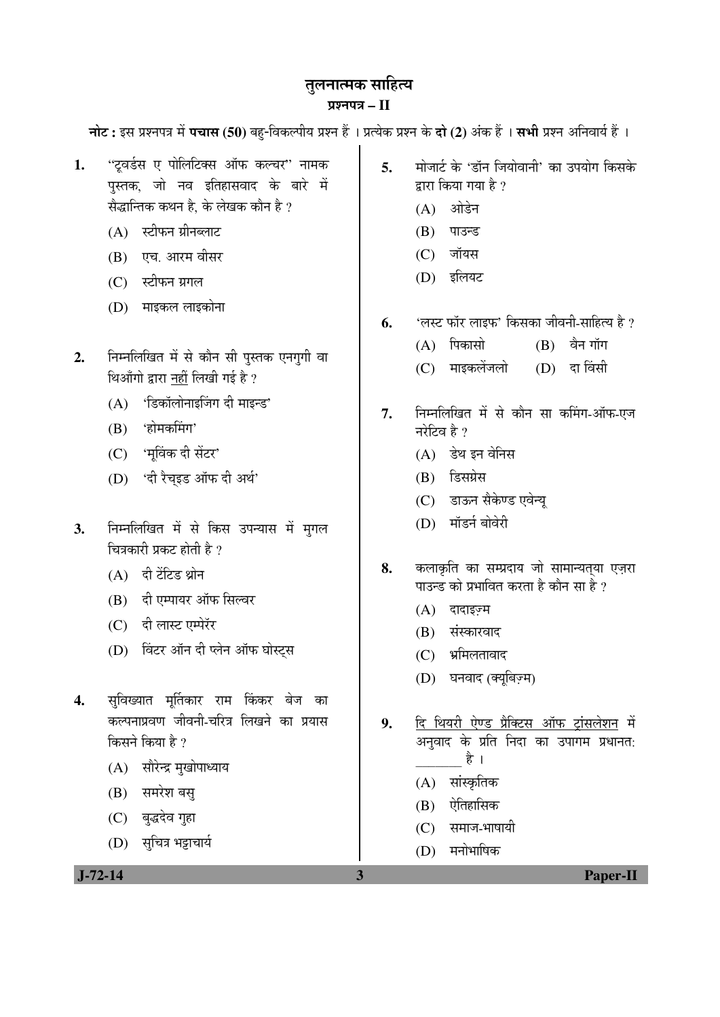## तुलनात्मक साहित्य

### ¯ÖÏ¿®Ö¯Ö¡Ö **– II**

**नोट :** इस प्रश्नपत्र में **पचास (50)** बह-विकल्पीय प्रश्न हैं । प्रत्येक प्रश्न के **दो (2)** अंक हैं । सभी प्रश्न अनिवार्य हैं ।

- 1. "ट्वर्डस ए पोलिटिक्स ऑफ कल्चर" नामक पुस्तक, जो नव इतिहासवाद के बारे में सैद्धान्तिक कथन है। के लेखक कौन है ?
	- $(A)$  स्टीफन ग्रीनब्लाट
	- (B) एच. आरम वीसर
	- $(C)$  स्टीफन ग्रगल
	- (D) माइकल लाइकोना
- 2. Fiम्नलिखित में से कौन सी पुस्तक एनगुगी वा थिऑगो द्वारा नहीं लिखी गई है ?
	- $(A)$  'डिकॉलोनाइजिंग दी माइन्ड'
	- (B) 'होमकमिंग'
	- (C) 'मुविंक दी सेंटर'
	- (D) 'दी रैचइड ऑफ दी अर्थ'
- 3. निम्नलिखित में से किस उपन्यास में मगल चित्रकारी प्रकट होती है ?
	- $(A)$  दी टेंटिड थ्रोन
	- (B) दी एम्पायर ऑफ सिल्वर
	- (C) दी लास्ट एम्पेरॅर
	- (D) विंटर ऑन दी प्लेन ऑफ घोस्ट्स
- 4. सुविख्यात मूर्तिकार राम किंकर बेज का कल्पनाप्रवण जीवनी-चरित्र लिखने का प्रयास किसने किया है ?
	- (A) सौरेन्द्र मुखोपाध्याय
	- (B) समरेश बस्
	- (C) बुद्धदेव गुहा
	- (D) सचित्र भट्टाचार्य
- 5. <sup>मोजार्ट के 'डॉन जियोवानी' का उपयोग किसके</sup> द्रारा किया गया है ?
	- (A) ओडेन
	- (B) पाउन्ड
	- $(C)$  जॉयस
	- (D) इलियट
- **6.** '»ÖÙü ±úÖò¸ü »ÖÖ‡±ú' ×ÛúÃÖÛúÖ •Öß¾Ö®Öß-ÃÖÖׯüŸµÖ Æîü ?
	- $(A)$  पिकासो $(B)$  वैन गॉग
	- (C) माइकलेंजलो (D) दा विंसी
- 7. निम्नलिखित में से कौन सा कमिंग-ऑफ-एज नरेटिव है $\overline{2}$ 
	- $(A)$  डेथ इन वेनिस
	- (B) डिसग्रेस
	- (C) डाऊन सैकेण्ड एवेन्य
	- (D) मॉडर्न बोवेरी
- 8. कलाकृति का सम्प्रदाय जो सामान्यतया एजरा पाउन्ड को प्रभावित करता है कौन सा है ?
	- $(A)$  दादाइज़्म
	- (B) संस्कारवाद
	- (C) भ्रमिलतावाद
	- (D) घनवाद (क्यूबिज़्म)
- 9. दि थियरी ऐण्ड प्रैक्टिस ऑफ ट्रांसलेशन में अनवाद के प्रति निदा का उपागम प्रधानत: है ।
	- (A) सांस्कृतिक
	- $(B)$  ऐतिहासिक
	- $(C)$  समाज-भाषायी
	- $(D)$  मनोभाषिक

 **J-72-14 3 Paper-II**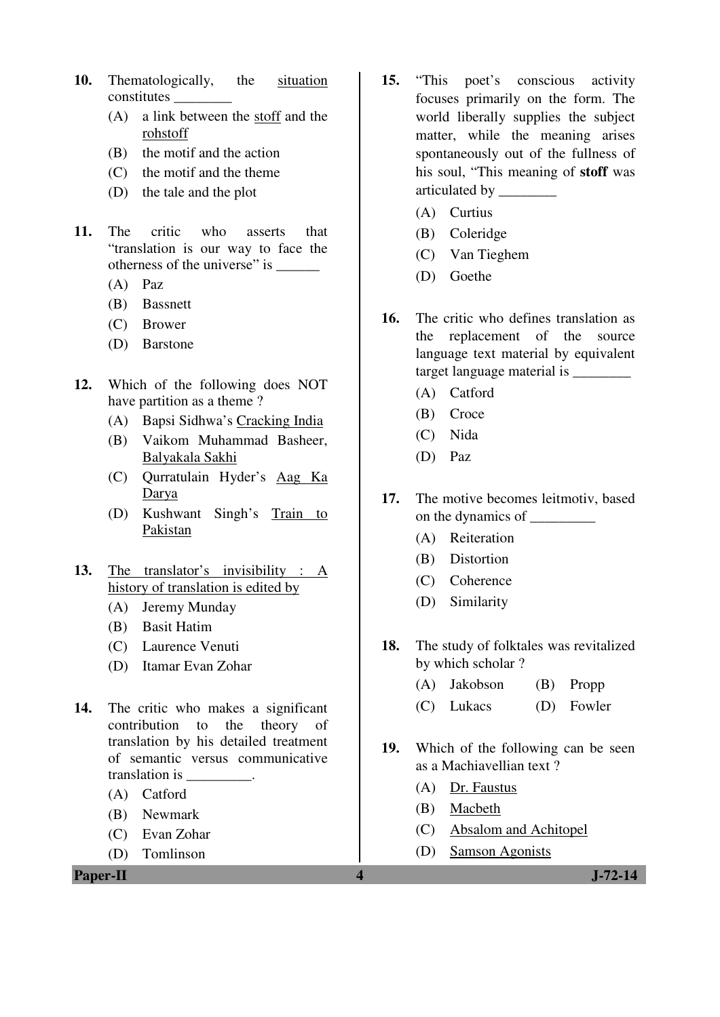- **10.** Thematologically, the situation constitutes \_\_\_\_\_\_\_\_
	- (A) a link between the stoff and the rohstoff
	- (B) the motif and the action
	- (C) the motif and the theme
	- (D) the tale and the plot
- **11.** The critic who asserts that "translation is our way to face the otherness of the universe" is \_\_\_\_\_\_\_\_\_
	- (A) Paz
	- (B) Bassnett
	- (C) Brower
	- (D) Barstone
- **12.** Which of the following does NOT have partition as a theme ?
	- (A) Bapsi Sidhwa's Cracking India
	- (B) Vaikom Muhammad Basheer, Balyakala Sakhi
	- (C) Qurratulain Hyder's Aag Ka Darya
	- (D) Kushwant Singh's Train to Pakistan
- **13.** The translator's invisibility : A history of translation is edited by
	- (A) Jeremy Munday
	- (B) Basit Hatim
	- (C) Laurence Venuti
	- (D) Itamar Evan Zohar
- **14.** The critic who makes a significant contribution to the theory of translation by his detailed treatment of semantic versus communicative translation is \_\_\_\_\_\_\_\_\_.
	- (A) Catford
	- (B) Newmark
	- (C) Evan Zohar
	- (D) Tomlinson

**Paper-II** J-72-14

- **15.** "This poet's conscious activity focuses primarily on the form. The world liberally supplies the subject matter, while the meaning arises spontaneously out of the fullness of his soul, "This meaning of **stoff** was articulated by \_\_\_\_\_\_\_\_
	- (A) Curtius
	- (B) Coleridge
	- (C) Van Tieghem
	- (D) Goethe
- **16.** The critic who defines translation as the replacement of the source language text material by equivalent target language material is \_\_\_\_\_\_\_\_
	- (A) Catford
	- (B) Croce
	- (C) Nida
	- (D) Paz
- **17.** The motive becomes leitmotiv, based on the dynamics of \_\_\_\_\_\_\_\_\_
	- (A) Reiteration
	- (B) Distortion
	- (C) Coherence
	- (D) Similarity
- **18.** The study of folktales was revitalized by which scholar ?
	- (A) Jakobson (B) Propp
	- (C) Lukacs (D) Fowler
- **19.** Which of the following can be seen as a Machiavellian text ?
	- (A) Dr. Faustus
	- (B) Macbeth
	- (C) Absalom and Achitopel
	- (D) Samson Agonists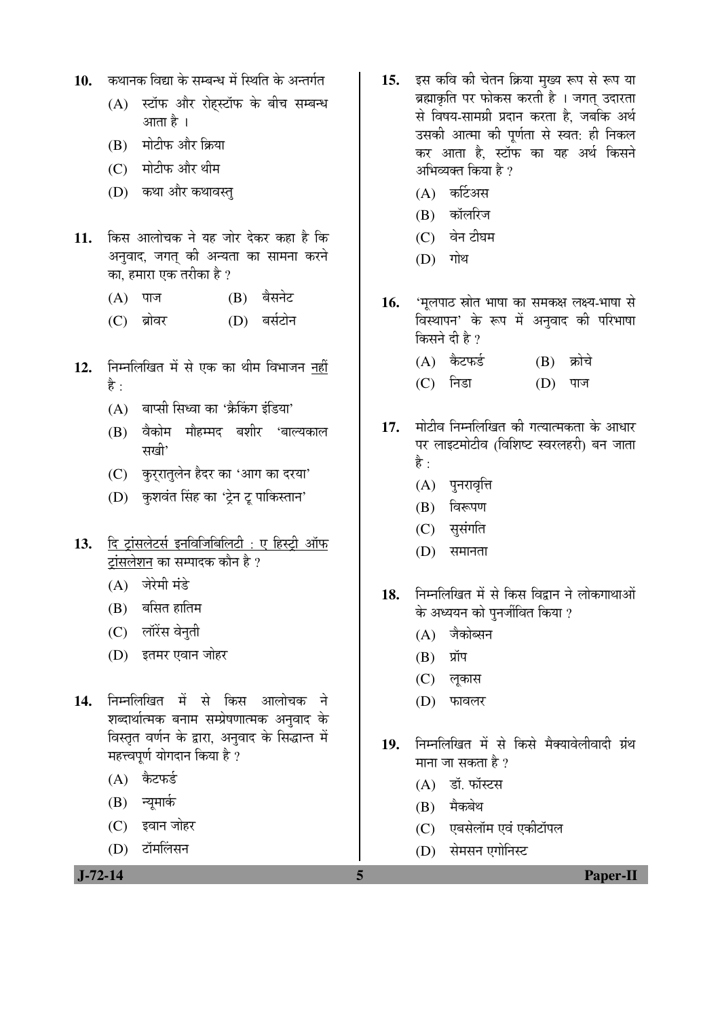- 10. कथानक विद्या के सम्बन्ध में स्थिति के अन्तर्गत
	- (A) स्टॉफ और रोहस्टॉफ के बीच सम्बन्ध आता है ।
	- (B) मोटीफ और क्रिया
	- (C) मोटीफ और थीम
	- (D) कथा और कथावस्त्
- 11. किस आलोचक ने यह जोर देकर कहा है कि अनुवाद, जगत् की अन्यता का सामना करने का, हमारा एक तरीका है ?
	- (A) पाज (B) बैसनेट
	- (C) ब्रोवर (D) बर्सटोन
- 12. निम्नलिखित में से एक का थीम विभाजन नहीं है $\cdot$ 
	- $(A)$  बाप्सी सिध्वा का 'क्रैकिंग इंडिया'
	- (B) वैकोम मौहम्मद बशीर 'बाल्यकाल सखी'
	- (C) कुर्रातुलेन हैदर का 'आग का दरया'
	- (D) कुशवंत सिंह का 'ट्रेन टू पाकिस्तान'
- 13. दि ट्रांसलेटर्स इनविजिबिलिटी : ए हिस्टी ऑफ ट्रांसलेशन का सम्पादक कौन है ?
	- (A) जेरेमी मंडे
	- $(B)$  बसित हातिम
	- (C) लॉरेंस वेनुती
	- (D) इतमर एवान जोहर
- 14. निम्नलिखित में से किस आलोचक ने शब्दार्थात्मक बनाम सम्प्रेषणात्मक अनुवाद के <u>विस्तृत वर्णन के द्वारा, अनुवाद के सिद्धान्त में</u> महत्त्वपूर्ण योगदान किया है ?
	- $(A)$  कैटफर्ड
	- (B) न्यूमार्क
	- (C) इवान जोहर
	- (D) टॉमलिंसन

- 15. इस कवि की चेतन क्रिया मुख्य रूप से रूप या ब्रह्माकृति पर फोकस करती है । जगत उदारता से विषय-सामग्री प्रदान करता है. जबकि अर्थ उसकी आत्मा की पूर्णता से स्वत: ही निकल कर आता है. स्टॉफ का यह अर्थ किसने अभिव्यक्त किया है  $\overline{v}$ 
	- $(A)$  कर्टिअस
	- (B) कॉलरिज
	- $(C)$  वेन टीघम
	- $(D)$  गोथ
- 16. **'मूलपाठ स्रोत भाषा का समकक्ष लक्ष्य-भा**षा से विस्थापन' के रूप में अनुवाद की परिभाषा किसने दी है ?
	- (A) कैटफर्ड (B) क्रोचे
	- (C) निडा (D) पाज
- 17. मोटीव निम्नलिखित की गत्यात्मकता के आधार पर लाइटमोटीव (विशिष्ट स्वरलहरी) बन जाता है $\cdot$ 
	- (A) पुनरावृत्ति
	- $(B)$  विरूपण
	- (C) सुसंगति
	- $(D)$  समानता
- 18. निम्नलिखित में से किस विद्रान ने लोकगाथाओं के अध्ययन को पनर्जीवित किया ?
	- $(A)$  जैकोब्सन
	- $(B)$  प्रॉप
	- (C) लुकास
	- $(D)$  फावलर
- 19. निम्नलिखित में से किसे मैक्यावेलीवादी ग्रंथ माना जा सकता है ?
	- $(A)$   $\vec{S}$ , फॉस्टस
	- $(B)$  मैकबेथ
	- (C) एबसेलॉम एवं एकीटॉपल
	- (D) सेमसन एगोनिस्ट

 **J-72-14 5 Paper-II**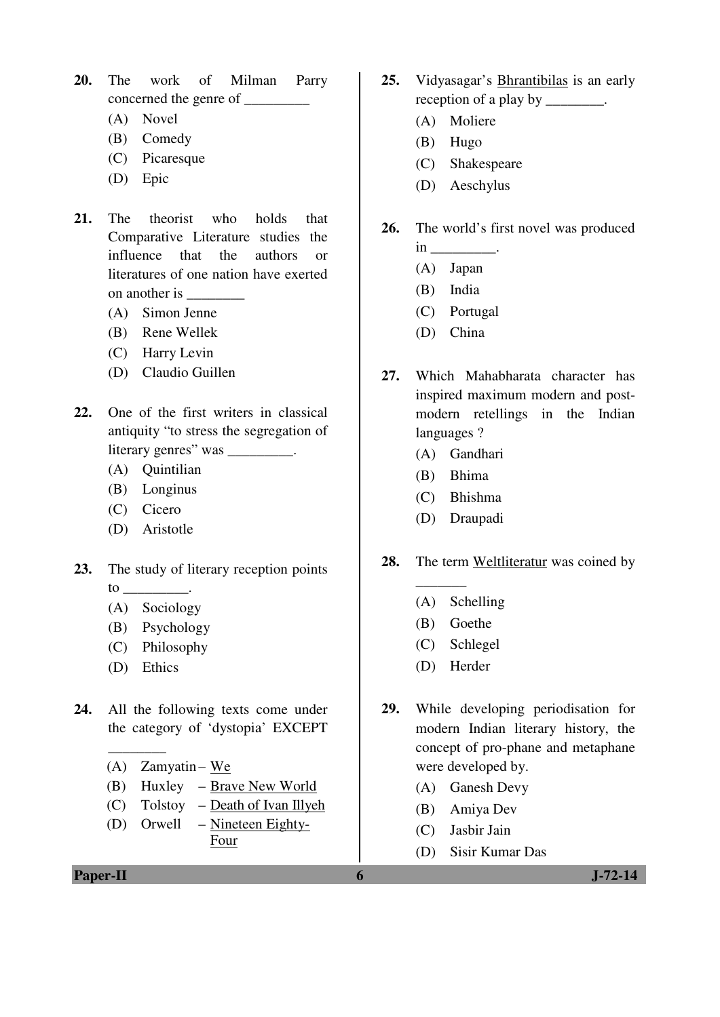- **20.** The work of Milman Parry concerned the genre of \_\_\_\_\_\_\_\_\_
	- (A) Novel
	- (B) Comedy
	- (C) Picaresque
	- (D) Epic
- **21.** The theorist who holds that Comparative Literature studies the influence that the authors or literatures of one nation have exerted on another is
	- (A) Simon Jenne
	- (B) Rene Wellek
	- (C) Harry Levin
	- (D) Claudio Guillen
- **22.** One of the first writers in classical antiquity "to stress the segregation of literary genres" was \_\_\_\_\_\_\_\_\_.
	- (A) Quintilian
	- (B) Longinus
	- (C) Cicero
	- (D) Aristotle
- **23.** The study of literary reception points  $\frac{1}{\sqrt{1-\frac{1}{\sqrt{1-\frac{1}{\sqrt{1-\frac{1}{\sqrt{1-\frac{1}{\sqrt{1-\frac{1}{\sqrt{1-\frac{1}{\sqrt{1-\frac{1}{\sqrt{1-\frac{1}{\sqrt{1-\frac{1}{\sqrt{1-\frac{1}{\sqrt{1-\frac{1}{\sqrt{1-\frac{1}{\sqrt{1-\frac{1}{\sqrt{1-\frac{1}{\sqrt{1-\frac{1}{\sqrt{1-\frac{1}{\sqrt{1-\frac{1}{\sqrt{1-\frac{1}{\sqrt{1-\frac{1}{\sqrt{1-\frac{1}{\sqrt{1-\frac{1}{\sqrt{1-\frac{1}{\sqrt{1-\frac{1}{\sqrt{1-\frac{1$ 
	- (A) Sociology
	- (B) Psychology
	- (C) Philosophy
	- (D) Ethics

\_\_\_\_\_\_\_\_

- **24.** All the following texts come under the category of 'dystopia' EXCEPT
	- $(A)$  Zamyatin We
	- (B) Huxley Brave New World
	- (C) Tolstoy Death of Ivan Illyeh
	- (D) Orwell Nineteen Eighty-Four

**Paper-II 6 J-72-14** 

- **25.** Vidyasagar's Bhrantibilas is an early reception of a play by \_\_\_\_\_\_\_\_.
	- (A) Moliere
	- (B) Hugo
	- (C) Shakespeare
	- (D) Aeschylus

### **26.** The world's first novel was produced  $in$   $\Box$

- (A) Japan
- (B) India
- (C) Portugal
- (D) China
- **27.** Which Mahabharata character has inspired maximum modern and postmodern retellings in the Indian languages ?
	- (A) Gandhari
	- (B) Bhima
	- (C) Bhishma
	- (D) Draupadi
- **28.** The term Weltliteratur was coined by
	- (A) Schelling
	- (B) Goethe

 $\overline{\phantom{a}}$ 

- (C) Schlegel
- (D) Herder
- **29.** While developing periodisation for modern Indian literary history, the concept of pro-phane and metaphane were developed by.
	- (A) Ganesh Devy
	- (B) Amiya Dev
	- (C) Jasbir Jain
	- (D) Sisir Kumar Das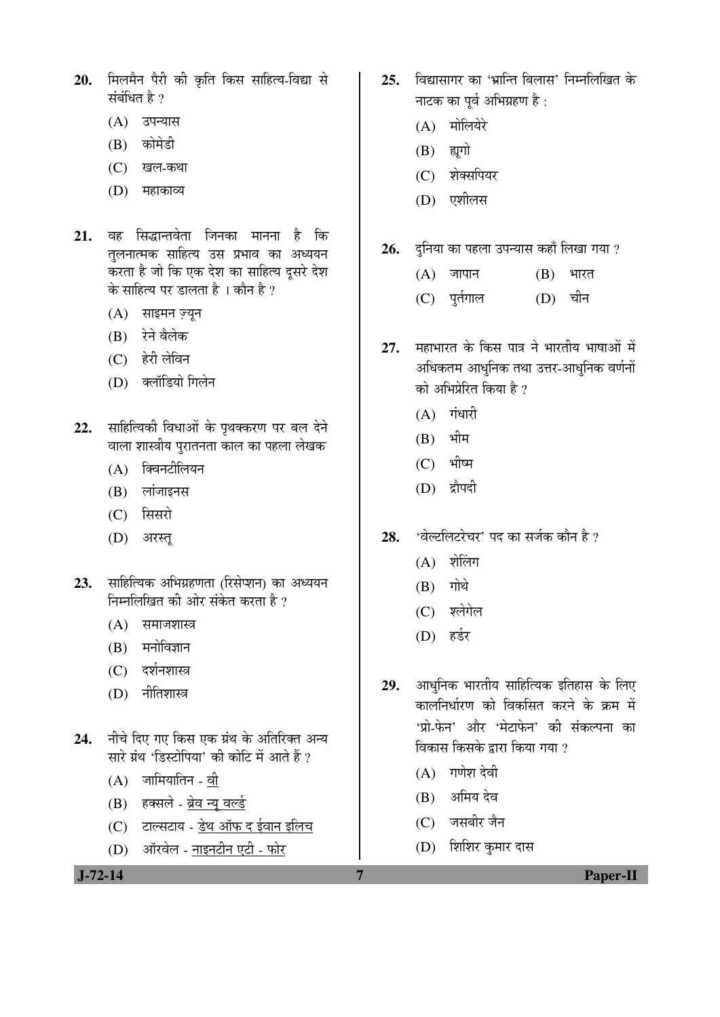- 20. मिलमैन पैरी की कृति किस साहित्य-विद्या से संबंधित है ?
	- (A) उपन्यास
	- (B) कोमेडी
	- (C) खल-कथा
	- (D) महाकाव्य
- 21. वह सिद्धान्तवेता जिनका मानना है कि तलनात्मक साहित्य उस प्रभाव का अध्ययन करता है जो कि एक देश का साहित्य दुसरे देश के साहित्य पर डालता है । कौन है ?
	- $(A)$  साइमन ज्यन
	- (B) रेने वैलेक
	- (C) हेरी लेविन
	- (D) क्लॉडियो गिलेन
- 22. साहित्यिकी विधाओं के पृथक्करण पर बल देने वाला शास्त्रीय पुरातनता काल का पहला लेखक
	- $(A)$  क्विनटीलियन
	- $(B)$  लांजाइनस
	- (C) सिसरो
	- (D) अरस्त
- 23. साहित्यिक अभिग्रहणता (रिसेप्शन) का अध्ययन निम्नलिखित की ओर संकेत करता है ?
	- $(A)$  समाजशास्त्र
	- $(B)$  मनोविज्ञान
	- $(C)$  दर्शनशास्त्र
	- $(D)$  नीतिशास्त्र
- 24. नीचे दिए गए किस एक ग्रंथ के अतिरिक्त अन्य सारे ग्रंथ 'डिस्टोपिया' की कोटि में आते हैं ?
	- $(A)$  जामियातिन वी
	- (B) हक्सले ब्रेव न्यू वर्ल्ड
	- $(C)$  टाल्सटाय डेथ ऑफ द ईवान इलिच
	- (D) ऑरवेल नाइनटीन एटी फोर
- 25. विद्यासागर का 'भ्रान्ति बिलास' निम्नलिखित के नाटक का पर्व अभिग्रहण है:
	- (A) मोलियेरे
	- $(B)$  ह्यगो
	- (C) शेक्सपियर
	- (D) एशीलस
- **26.** दुनिया का पहला उपन्यास कहाँ लिखा गया ?
	- $(A)$  जापान  $(B)$  भारत
	- (C) पुर्तगाल (D) चीन
- 27. महाभारत के किस पात्र ने भारतीय भाषाओं में अधिकतम आधुनिक तथा उत्तर-आधुनिक वर्णनों को अभिप्रेरित किया है ?
	- $(A)$  गंधारी
	- $(B)$  भीम
	- $(C)$  भीष्म
	- (D) द्रौपदी
- 28. **'वेल्टलिटरेचर' पद का सर्ज**क कौन है ?
	- $(A)$  शेलिंग
	- $(B)$  गोथे
	- (C) श्लेगेल
	- (D) हर्डर
- 29. आधुनिक भारतीय साहित्यिक इतिहास के लिए कालनिर्धारण को विकसित करने के क्रम में 'प्रो-फेन' और 'मेटाफेन' की संकल्पना का विकास किसके द्वारा किया गया ?
	- $(A)$  गणेश देवी
	- (B) अमिय देव
	- (C) जसबीर जैन
	- (D) शिशिर कुमार दास

 **J-72-14 7 Paper-II**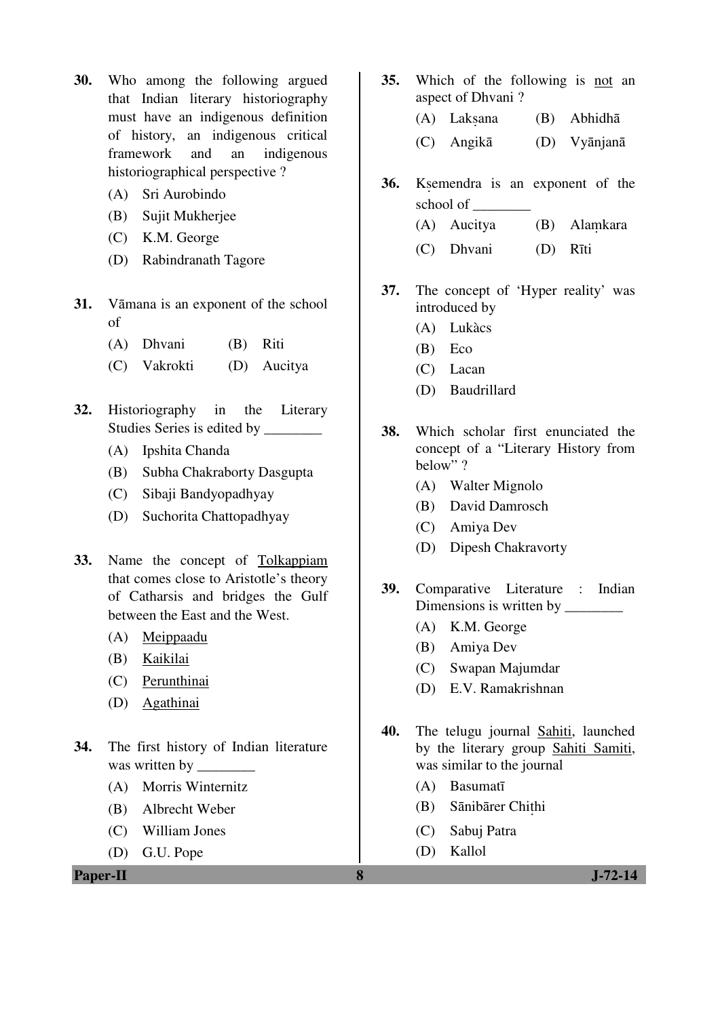- **30.** Who among the following argued that Indian literary historiography must have an indigenous definition of history, an indigenous critical framework and an indigenous historiographical perspective ?
	- (A) Sri Aurobindo
	- (B) Sujit Mukherjee
	- (C) K.M. George
	- (D) Rabindranath Tagore
- **31.** Vāmana is an exponent of the school of
	- (A) Dhvani (B) Riti
	- (C) Vakrokti (D) Aucitya
- **32.** Historiography in the Literary Studies Series is edited by \_\_\_\_\_\_\_\_
	- (A) Ipshita Chanda
	- (B) Subha Chakraborty Dasgupta
	- (C) Sibaji Bandyopadhyay
	- (D) Suchorita Chattopadhyay
- **33.** Name the concept of Tolkappiam that comes close to Aristotle's theory of Catharsis and bridges the Gulf between the East and the West.
	- (A) Meippaadu
	- (B) Kaikilai
	- (C) Perunthinai
	- (D) Agathinai
- **34.** The first history of Indian literature was written by \_\_\_\_\_\_\_\_
	- (A) Morris Winternitz
	- (B) Albrecht Weber
	- (C) William Jones
	- (D) G.U. Pope

**Paper-II 8 J-72-14** 

- **35.** Which of the following is not an aspect of Dhvani ?
	- (A) Laksana (B) Abhidhā
	- (C) Angikā (D) Vyānjanā
- **36.** K. Ksemendra is an exponent of the school of \_\_\_\_\_\_\_\_
	- $(A)$  Aucitya  $(B)$ **Alamkara**
	- (C) Dhvani (D) Rīti
- **37.** The concept of 'Hyper reality' was introduced by
	- (A) Lukàcs
	- (B) Eco
	- (C) Lacan
	- (D) Baudrillard
- **38.** Which scholar first enunciated the concept of a "Literary History from below" ?
	- (A) Walter Mignolo
	- (B) David Damrosch
	- (C) Amiya Dev
	- (D) Dipesh Chakravorty
- **39.** Comparative Literature : Indian Dimensions is written by
	- (A) K.M. George
	- (B) Amiya Dev
	- (C) Swapan Majumdar
	- (D) E.V. Ramakrishnan
- **40.** The telugu journal Sahiti, launched by the literary group Sahiti Samiti, was similar to the journal
	- (A) Basumatī
- (B) Sānibārer Chițhi
	- (C) Sabuj Patra
	- (D) Kallol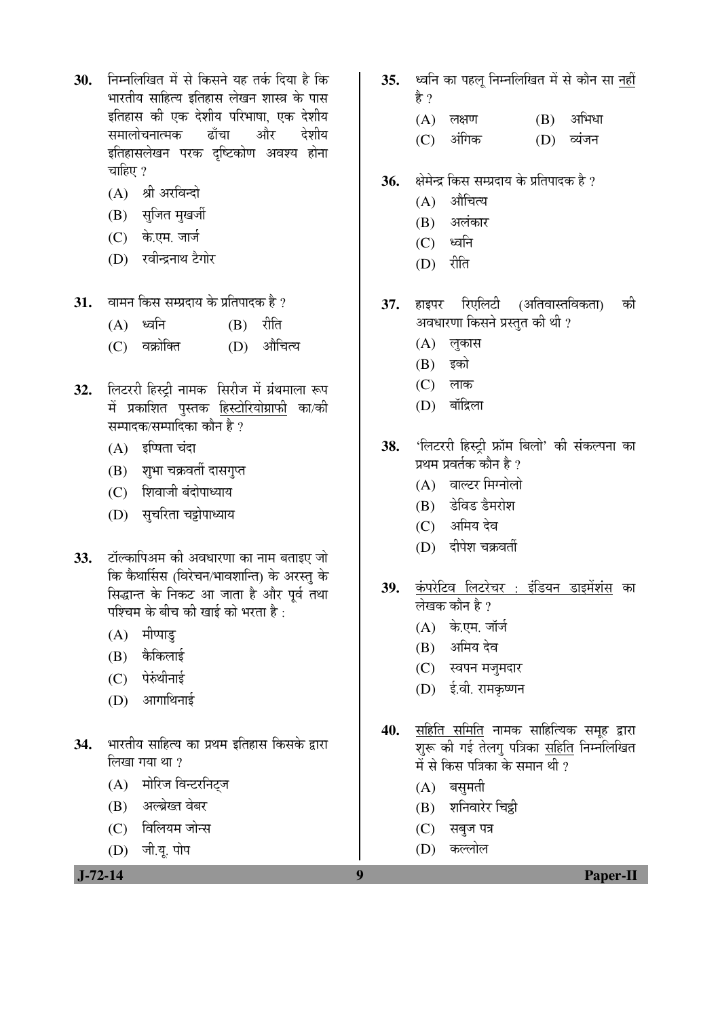- 30. ਜਿਸ लिखित में से किसने यह तर्क दिया है कि <u>भारतीय साहित्य इतिहास लेखन शास्त्र के पास</u> इतिहास की एक देशीय परिभाषा, एक देशीय समालोचनात्मक ढाँचा और देशीय इतिहासलेखन परक दष्टिकोण अवश्य होना चाहिए $?$ 
	- $(A)$  श्री अरविन्दो
	- (B) सुजित मुखर्जी
	- (C) के.एम. जार्ज
	- (D) रवीन्द्रनाथ टैगोर
- **31.** बामन किस सम्प्रदाय के प्रतिपादक है ?
	- $(A)$  ध्वनि  $(B)$  रीति
	- (C) वक्रोक्ति (D) औचित्य
- 32. लिटररी हिस्टी नामक सिरीज में ग्रंथमाला रूप में प्रकाशित पुस्तक <u>हिस्टोरियोग्राफी</u> का/की सम्पादक/सम्पादिका कौन है ?
	- $(A)$  इष्षिता चंदा
	- (B) शुभा चक्रवर्ती दासगुप्त
	- $(C)$  शिवाजी बंदोपाध्याय
	- (D) सूचरिता चड्रोपाध्याय
- 33. टॉल्कापिअम की अवधारणा का नाम बताइए जो कि कैथार्सिस (विरेचन/भावशान्ति) के अरस्तु के सिद्धान्त के निकट आ जाता है और पूर्व तथा पश्चिम के बीच की खाई को भरता है :
	- $(A)$  मीप्पाड़
	- $(B)$  कैकिलाई
	- $(C)$  पेरुंथीनाई
	- $(D)$  आगाथिनाई
- 34. भारतीय साहित्य का प्रथम इतिहास किसके द्वारा  $\delta$ लिखा गया था ?
	- (A) मोरिज विन्टरनिट्ज
	- (B) अल्ब्रेख्त वेबर
	- (C) विलियम जोन्स
	- (D) जी.यू. पोप

 **J-72-14 9 Paper-II**

- 35. ध्वनि का पहल निम्नलिखित में से कौन सा नहीं
	- $(A)$  लक्षण  $(B)$  अभिधा
	- (C) अंगिक (D) व्यंजन
- 36. åे क्षेत्रेन्द्र किस सम्प्रदाय के प्रतिपादक है ?
	- $(A)$  औचित्य

हे ?

- $(B)$  अलंकार
- $(C)$  ध्वनि
- $(D)$  रीति
- 37. हाइपर रिएलिटी (अतिवास्तविकता) की अवधारणा किसने प्रस्तुत की थी ?
	- $(A)$  लुकास
	- $(B)$  इको
	- $(C)$  लाक
	- $(D)$  बॉद्रिला

38. 'लिटररी हिस्टी फ्रॉम बिलो' की संकल्पना का प्रथम प्रवर्तक कौन है ?

- $(A)$  वाल्टर मिग्नोलो
- (B) डेविड डैमरोश
- (C) अमिय देव
- (D) दीपेश चक्रवर्ती
- 39. कंपरेटिव लिटरेचर : इंडियन डाइमेंशंस का लेखक कौन है ?
	- (A) के.एम. जॉर्ज
	- (B) अमिय देव
	- (C) स्वपन मज़मदार
	- (D) ई.वी. रामकृष्णन
- <u>40. सहिति समिति</u> नामक साहित्यिक समूह द्वारा शुरू की गई तेलगु पत्रिका सहिति निम्नलिखित में से किस पत्रिका के समान थी ?
	- $(A)$  बसमती
	- (B) शनिवारेर चिट्ठी
	- (C) सबज पत्र
	- (D) কল্লীল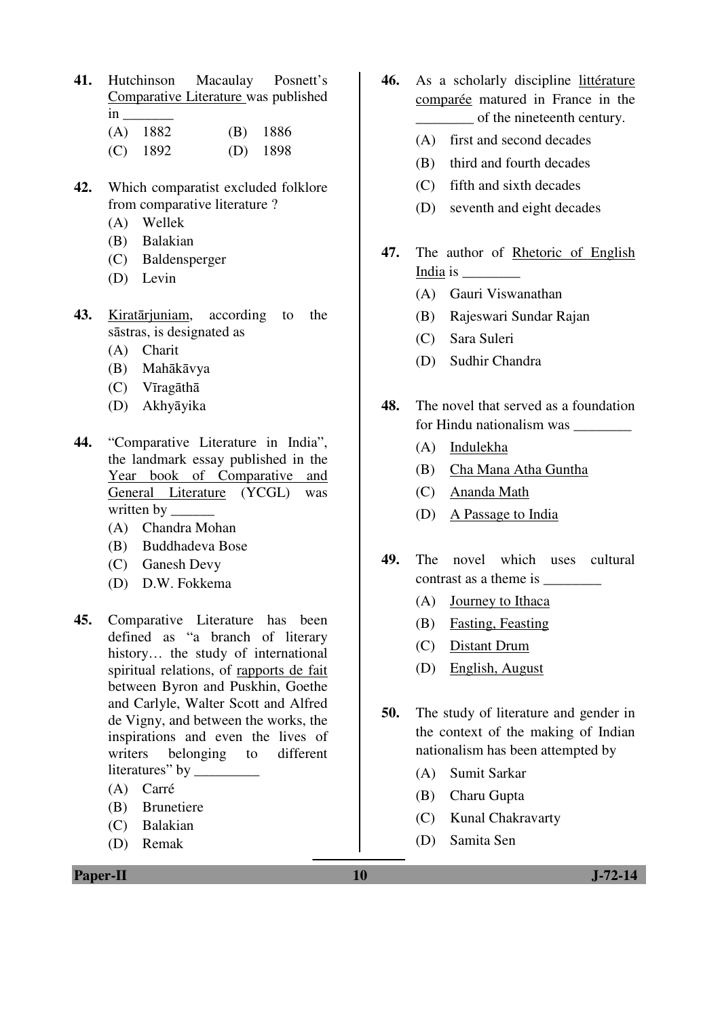**41.** Hutchinson Macaulay Posnett's Comparative Literature was published in \_\_\_\_\_\_\_ (A) 1882 (B) 1886

| $(4 - 1)$ $100 -$ | $\mathbf{u}$ |
|-------------------|--------------|
| $(C)$ 1892        | $(D)$ 1898   |

- **42.** Which comparatist excluded folklore from comparative literature ?
	- (A) Wellek
	- (B) Balakian
	- (C) Baldensperger
	- (D) Levin
- **43.** Kiratārjuniam, according to the sāstras, is designated as
	- (A) Charit
	- (B) Mahākāvya
	- (C) Vīragāthā
	- (D) Akhyāyika
- **44.** "Comparative Literature in India", the landmark essay published in the Year book of Comparative and General Literature (YCGL) was written by
	- (A) Chandra Mohan
	- (B) Buddhadeva Bose
	- (C) Ganesh Devy
	- (D) D.W. Fokkema
- **45.** Comparative Literature has been defined as "a branch of literary history… the study of international spiritual relations, of rapports de fait between Byron and Puskhin, Goethe and Carlyle, Walter Scott and Alfred de Vigny, and between the works, the inspirations and even the lives of writers belonging to different literatures" by \_\_\_\_\_\_\_\_\_
	- (A) Carré
	- (B) Brunetiere
	- (C) Balakian
	- (D) Remak
- **46.** As a scholarly discipline littérature comparée matured in France in the of the nineteenth century.
	- (A) first and second decades
	- (B) third and fourth decades
	- (C) fifth and sixth decades
	- (D) seventh and eight decades
- **47.** The author of Rhetoric of English India is \_\_\_\_\_\_\_\_
	- (A) Gauri Viswanathan
	- (B) Rajeswari Sundar Rajan
	- (C) Sara Suleri
	- (D) Sudhir Chandra
- **48.** The novel that served as a foundation for Hindu nationalism was \_\_\_\_\_\_\_\_
	- (A) Indulekha
	- (B) Cha Mana Atha Guntha
	- (C) Ananda Math
	- (D) A Passage to India
- **49.** The novel which uses cultural contrast as a theme is \_\_\_\_\_\_\_\_
	- (A) Journey to Ithaca
	- (B) Fasting, Feasting
	- (C) Distant Drum
	- (D) English, August
- **50.** The study of literature and gender in the context of the making of Indian nationalism has been attempted by
	- (A) Sumit Sarkar
	- (B) Charu Gupta
	- (C) Kunal Chakravarty
	- (D) Samita Sen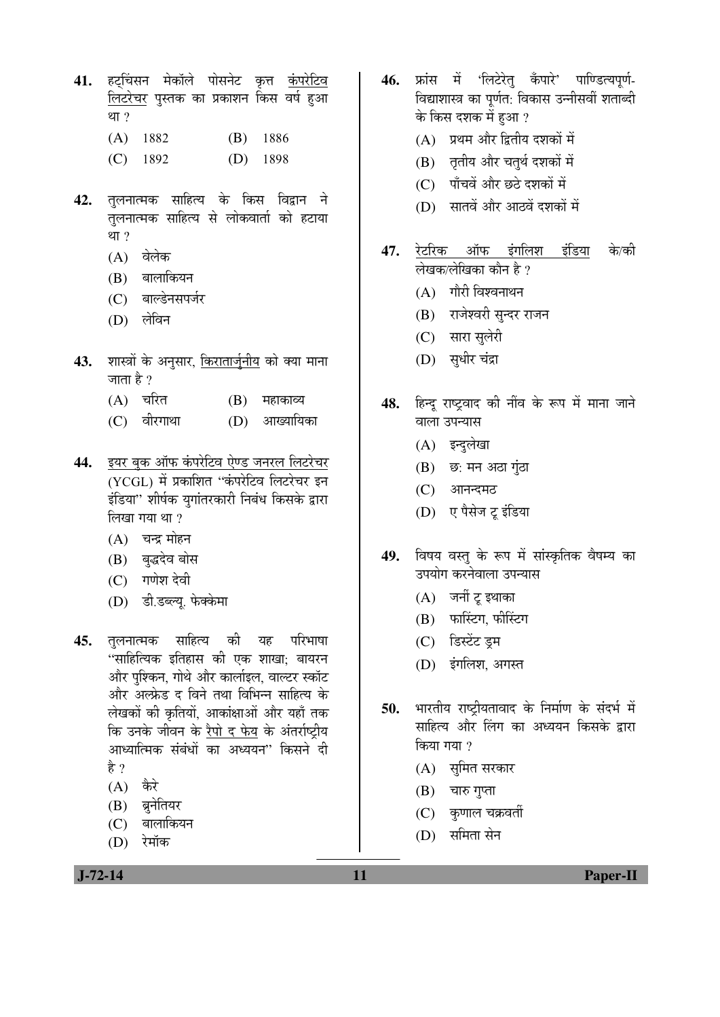- 41. हटचिंसन मेकॉले पोसनेट कृत्त **कंपरेटि**व लिटरेचर पुस्तक का प्रकाशन किस वर्ष हुआ था $, 2$ 
	- (A) 1882 (B) 1886
	- (C) 1892 (D) 1898
- 42. तुलनात्मक साहित्य के किस विद्वान ने तलनात्मक साहित्य से लोकवार्ता को हटाया था $, 2$ 
	- (A) वेलेक
	- (B) बालाकियन
	- (C) बाल्डेनसपर्जर
	- (D) लेविन
- **43.** शास्त्रों के अनुसार, <u>किरातार्जुनीय</u> को क्या माना जाता है ?
	- $(A)$  चरित  $(B)$  महाकाव्य
	- (C) वीरगाथा (D) आख्यायिका
- 44. <u>इयर बुक ऑफ कंपरेटिव ऐण्ड जनरल लिटरेचर</u> (YCGL) में प्रकाशित "कंपरेटिव लिटरेचर इन इंडिया" शीर्षक युगांतरकारी निबंध किसके द्वारा  $\overline{6}$ लिखा गया था ?
	- $(A)$  चन्द्र मोहन
	- (B) बुद्धदेव बोस
	- (C) गणेश देवी
	- (D) डी.डब्ल्यू. फेक्केमा
- 45. तुलनात्मक साहित्य की यह परिभाषा "साहित्यिक इतिहास की एक शाखा: बायरन और पश्किन, गोथे और कार्लाइल, वाल्टर स्कॉट <u>और अल्फ्रेड द विने तथा विभिन्न साहित्य के</u> लेखकों की कृतियों, आकांक्षाओं और यहाँ तक कि उनके जीवन के रैपो द फेय के अंतर्राष्ट्रीय आध्यात्मिक संबंधों का अध्ययन" किसने दी है ?
	- $(A)$  कैरे
	- (B) ब्रुनेतियर
	- (C) बालाकियन
	- (D) रेमॉक
- 46. फ्रांस में 'लिटेरेत कँपारे' पाण्डित्यपर्ण-विद्याशास्त्र का पूर्णत: विकास उन्नीसवीं शताब्दी के किस दशक में हुआ ?
	- $(A)$  प्रथम और द्वितीय दशकों में
	- (B) तृतीय और चतुर्थ दशकों में
	- (C) पाँचवें और छठे दशकों में
	- $(D)$  सातवें और आठवें दशकों में
- 47. <u>रेटरिक ऑफ इंगलिश इंडिया</u> के/की लेखक/लेखिका कौन है ?
	- $(A)$  गौरी विश्वनाथन
	- (B) राजेश्वरी सन्दर राजन
	- (C) सारा सुलेरी
	- (D) सुधीर चंद्रा
- 48. हिन्द राष्टवाद की नींव के रूप में माना जाने वाला उपन्यास
	- (A) इन्दुलेखा
	- $(B)$  छ: मन अठा गुंठा
	- (C) आनन्दमठ
	- (D) ए पैसेज टू इंडिया
- 49. विषय वस्तु के रूप में सांस्कृतिक वैषम्य का उपयोग करनेवाला उपन्यास
	- (A) जर्नी टू इथाका
	- $(B)$  फारिंटग, फीरिंटग
	- (C) डिस्टेंट डम
	- (D) इंगलिश, अगस्त
- 50. भारतीय राष्ट्रीयतावाद के निर्माण के संदर्भ में साहित्य और लिंग का अध्ययन किसके द्वारा किया गया ?
	- (A) सुमित सरकार
	- $(B)$  चारु गुप्ता
	- $(C)$  कुणाल चक्रवर्ती
	- $(D)$  समिता सेन